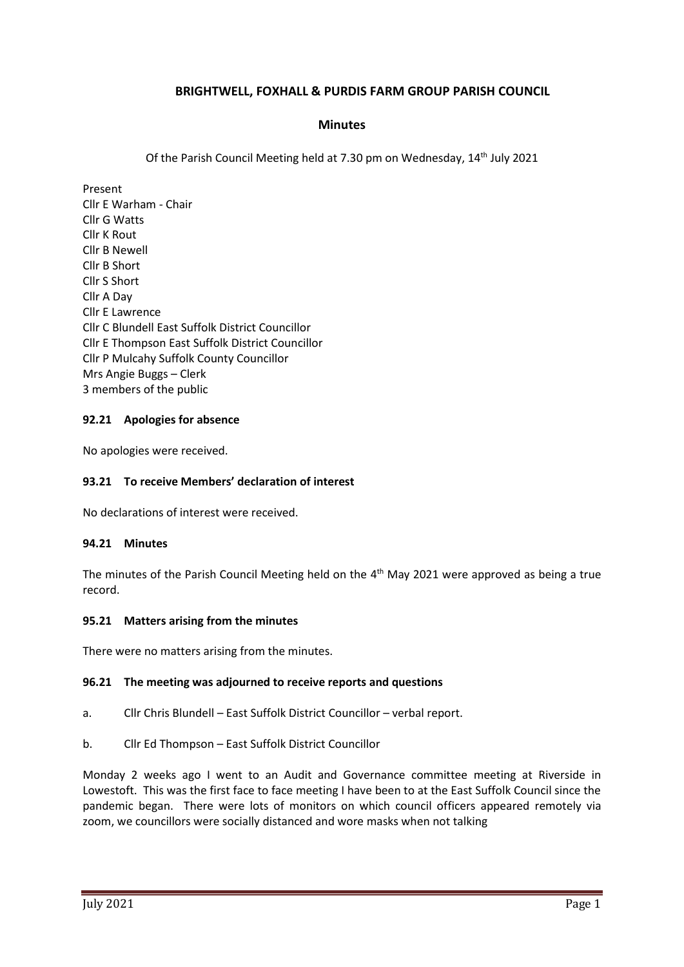# **BRIGHTWELL, FOXHALL & PURDIS FARM GROUP PARISH COUNCIL**

# **Minutes**

Of the Parish Council Meeting held at 7.30 pm on Wednesday, 14<sup>th</sup> July 2021

Present Cllr E Warham - Chair Cllr G Watts Cllr K Rout Cllr B Newell Cllr B Short Cllr S Short Cllr A Day Cllr E Lawrence Cllr C Blundell East Suffolk District Councillor Cllr E Thompson East Suffolk District Councillor Cllr P Mulcahy Suffolk County Councillor Mrs Angie Buggs – Clerk 3 members of the public

### **92.21 Apologies for absence**

No apologies were received.

#### **93.21 To receive Members' declaration of interest**

No declarations of interest were received.

#### **94.21 Minutes**

The minutes of the Parish Council Meeting held on the 4<sup>th</sup> May 2021 were approved as being a true record.

#### **95.21 Matters arising from the minutes**

There were no matters arising from the minutes.

#### **96.21 The meeting was adjourned to receive reports and questions**

- a. Cllr Chris Blundell East Suffolk District Councillor verbal report.
- b. Cllr Ed Thompson East Suffolk District Councillor

Monday 2 weeks ago I went to an Audit and Governance committee meeting at Riverside in Lowestoft. This was the first face to face meeting I have been to at the East Suffolk Council since the pandemic began. There were lots of monitors on which council officers appeared remotely via zoom, we councillors were socially distanced and wore masks when not talking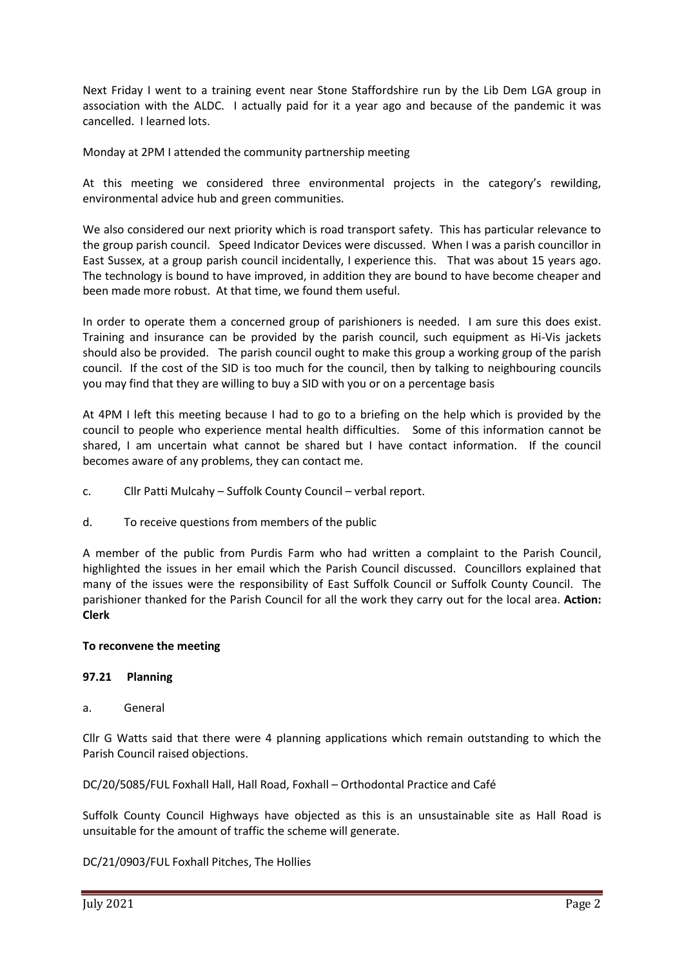Next Friday I went to a training event near Stone Staffordshire run by the Lib Dem LGA group in association with the ALDC. I actually paid for it a year ago and because of the pandemic it was cancelled. I learned lots.

Monday at 2PM I attended the community partnership meeting

At this meeting we considered three environmental projects in the category's rewilding, environmental advice hub and green communities.

We also considered our next priority which is road transport safety. This has particular relevance to the group parish council. Speed Indicator Devices were discussed. When I was a parish councillor in East Sussex, at a group parish council incidentally, I experience this. That was about 15 years ago. The technology is bound to have improved, in addition they are bound to have become cheaper and been made more robust. At that time, we found them useful.

In order to operate them a concerned group of parishioners is needed. I am sure this does exist. Training and insurance can be provided by the parish council, such equipment as Hi-Vis jackets should also be provided. The parish council ought to make this group a working group of the parish council. If the cost of the SID is too much for the council, then by talking to neighbouring councils you may find that they are willing to buy a SID with you or on a percentage basis

At 4PM I left this meeting because I had to go to a briefing on the help which is provided by the council to people who experience mental health difficulties. Some of this information cannot be shared, I am uncertain what cannot be shared but I have contact information. If the council becomes aware of any problems, they can contact me.

- c. Cllr Patti Mulcahy Suffolk County Council verbal report.
- d. To receive questions from members of the public

A member of the public from Purdis Farm who had written a complaint to the Parish Council, highlighted the issues in her email which the Parish Council discussed. Councillors explained that many of the issues were the responsibility of East Suffolk Council or Suffolk County Council. The parishioner thanked for the Parish Council for all the work they carry out for the local area. **Action: Clerk**

# **To reconvene the meeting**

# **97.21 Planning**

a. General

Cllr G Watts said that there were 4 planning applications which remain outstanding to which the Parish Council raised objections.

DC/20/5085/FUL Foxhall Hall, Hall Road, Foxhall – Orthodontal Practice and Café

Suffolk County Council Highways have objected as this is an unsustainable site as Hall Road is unsuitable for the amount of traffic the scheme will generate.

DC/21/0903/FUL Foxhall Pitches, The Hollies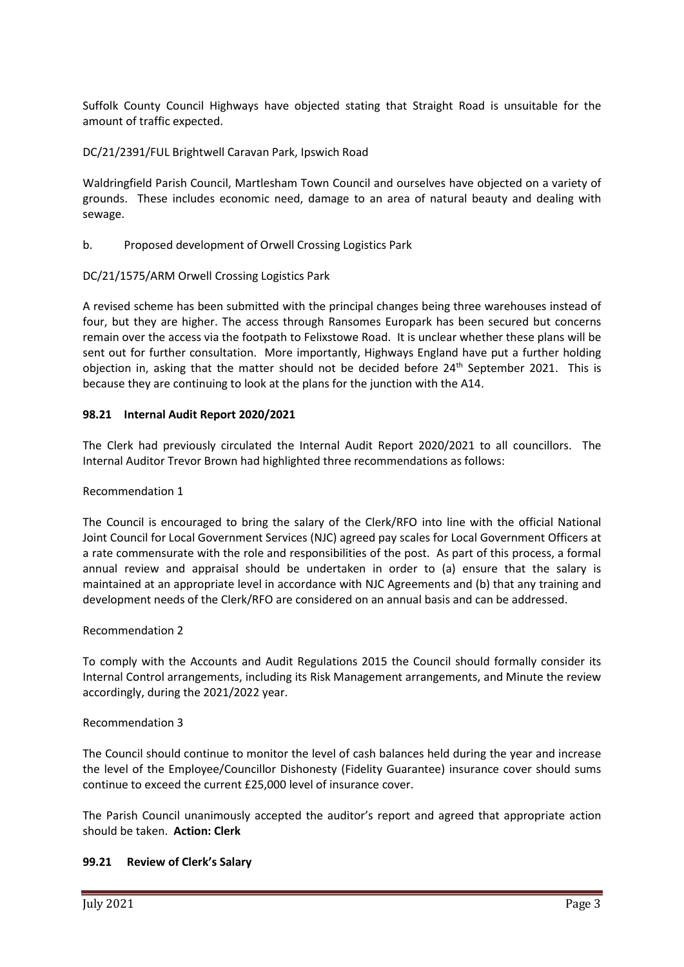Suffolk County Council Highways have objected stating that Straight Road is unsuitable for the amount of traffic expected.

# DC/21/2391/FUL Brightwell Caravan Park, Ipswich Road

Waldringfield Parish Council, Martlesham Town Council and ourselves have objected on a variety of grounds. These includes economic need, damage to an area of natural beauty and dealing with sewage.

### b. Proposed development of Orwell Crossing Logistics Park

### DC/21/1575/ARM Orwell Crossing Logistics Park

A revised scheme has been submitted with the principal changes being three warehouses instead of four, but they are higher. The access through Ransomes Europark has been secured but concerns remain over the access via the footpath to Felixstowe Road. It is unclear whether these plans will be sent out for further consultation. More importantly, Highways England have put a further holding objection in, asking that the matter should not be decided before  $24<sup>th</sup>$  September 2021. This is because they are continuing to look at the plans for the junction with the A14.

### **98.21 Internal Audit Report 2020/2021**

The Clerk had previously circulated the Internal Audit Report 2020/2021 to all councillors. The Internal Auditor Trevor Brown had highlighted three recommendations as follows:

#### Recommendation 1

The Council is encouraged to bring the salary of the Clerk/RFO into line with the official National Joint Council for Local Government Services (NJC) agreed pay scales for Local Government Officers at a rate commensurate with the role and responsibilities of the post. As part of this process, a formal annual review and appraisal should be undertaken in order to (a) ensure that the salary is maintained at an appropriate level in accordance with NJC Agreements and (b) that any training and development needs of the Clerk/RFO are considered on an annual basis and can be addressed.

#### Recommendation 2

To comply with the Accounts and Audit Regulations 2015 the Council should formally consider its Internal Control arrangements, including its Risk Management arrangements, and Minute the review accordingly, during the 2021/2022 year.

#### Recommendation 3

The Council should continue to monitor the level of cash balances held during the year and increase the level of the Employee/Councillor Dishonesty (Fidelity Guarantee) insurance cover should sums continue to exceed the current £25,000 level of insurance cover.

The Parish Council unanimously accepted the auditor's report and agreed that appropriate action should be taken. **Action: Clerk**

#### **99.21 Review of Clerk's Salary**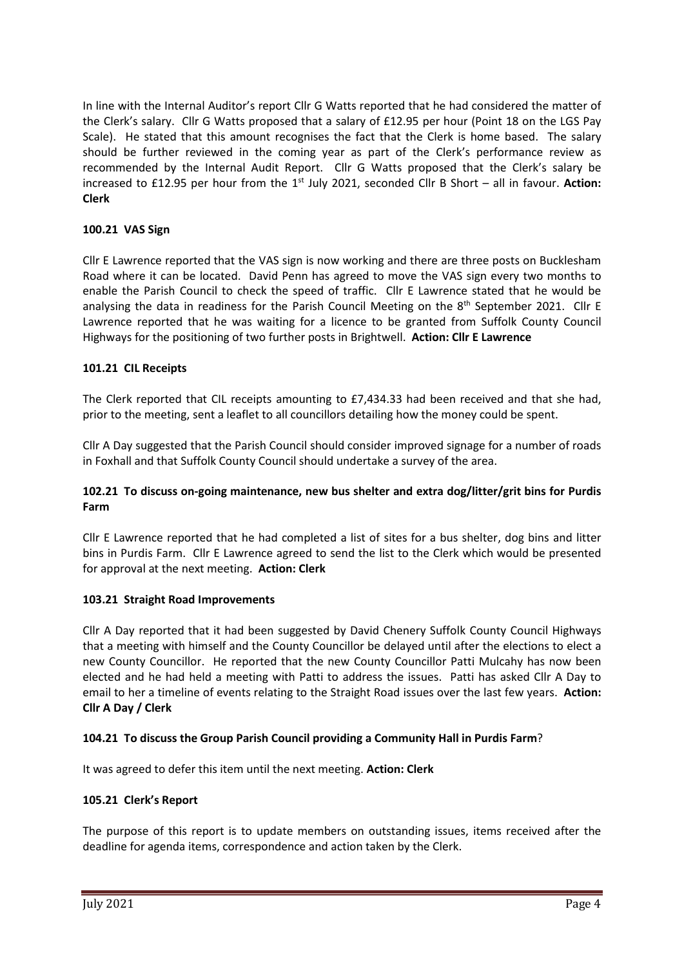In line with the Internal Auditor's report Cllr G Watts reported that he had considered the matter of the Clerk's salary. Cllr G Watts proposed that a salary of £12.95 per hour (Point 18 on the LGS Pay Scale). He stated that this amount recognises the fact that the Clerk is home based. The salary should be further reviewed in the coming year as part of the Clerk's performance review as recommended by the Internal Audit Report. Cllr G Watts proposed that the Clerk's salary be increased to £12.95 per hour from the 1<sup>st</sup> July 2021, seconded Cllr B Short - all in favour. Action: **Clerk**

# **100.21 VAS Sign**

Cllr E Lawrence reported that the VAS sign is now working and there are three posts on Bucklesham Road where it can be located. David Penn has agreed to move the VAS sign every two months to enable the Parish Council to check the speed of traffic. Cllr E Lawrence stated that he would be analysing the data in readiness for the Parish Council Meeting on the 8<sup>th</sup> September 2021. Cllr E Lawrence reported that he was waiting for a licence to be granted from Suffolk County Council Highways for the positioning of two further posts in Brightwell. **Action: Cllr E Lawrence**

### **101.21 CIL Receipts**

The Clerk reported that CIL receipts amounting to £7,434.33 had been received and that she had, prior to the meeting, sent a leaflet to all councillors detailing how the money could be spent.

Cllr A Day suggested that the Parish Council should consider improved signage for a number of roads in Foxhall and that Suffolk County Council should undertake a survey of the area.

# **102.21 To discuss on-going maintenance, new bus shelter and extra dog/litter/grit bins for Purdis Farm**

Cllr E Lawrence reported that he had completed a list of sites for a bus shelter, dog bins and litter bins in Purdis Farm. Cllr E Lawrence agreed to send the list to the Clerk which would be presented for approval at the next meeting. **Action: Clerk**

#### **103.21 Straight Road Improvements**

Cllr A Day reported that it had been suggested by David Chenery Suffolk County Council Highways that a meeting with himself and the County Councillor be delayed until after the elections to elect a new County Councillor. He reported that the new County Councillor Patti Mulcahy has now been elected and he had held a meeting with Patti to address the issues. Patti has asked Cllr A Day to email to her a timeline of events relating to the Straight Road issues over the last few years. **Action: Cllr A Day / Clerk**

#### **104.21 To discuss the Group Parish Council providing a Community Hall in Purdis Farm**?

It was agreed to defer this item until the next meeting. **Action: Clerk**

#### **105.21 Clerk's Report**

The purpose of this report is to update members on outstanding issues, items received after the deadline for agenda items, correspondence and action taken by the Clerk.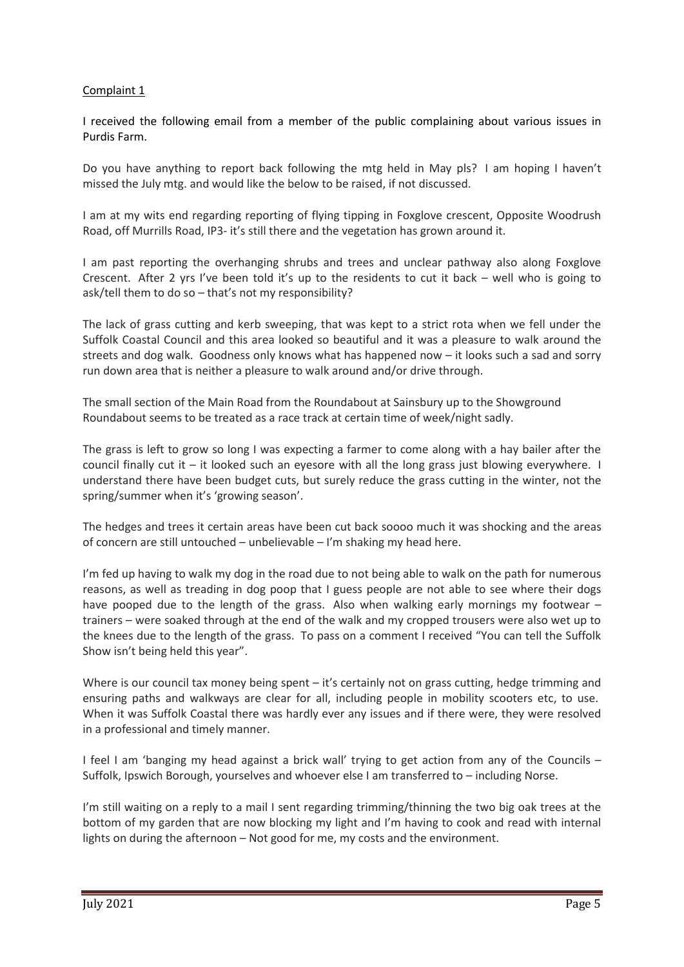# Complaint 1

I received the following email from a member of the public complaining about various issues in Purdis Farm.

Do you have anything to report back following the mtg held in May pls? I am hoping I haven't missed the July mtg. and would like the below to be raised, if not discussed.

I am at my wits end regarding reporting of flying tipping in Foxglove crescent, Opposite Woodrush Road, off Murrills Road, IP3- it's still there and the vegetation has grown around it.

I am past reporting the overhanging shrubs and trees and unclear pathway also along Foxglove Crescent. After 2 yrs I've been told it's up to the residents to cut it back – well who is going to ask/tell them to do so – that's not my responsibility?

The lack of grass cutting and kerb sweeping, that was kept to a strict rota when we fell under the Suffolk Coastal Council and this area looked so beautiful and it was a pleasure to walk around the streets and dog walk. Goodness only knows what has happened now – it looks such a sad and sorry run down area that is neither a pleasure to walk around and/or drive through.

The small section of the Main Road from the Roundabout at Sainsbury up to the Showground Roundabout seems to be treated as a race track at certain time of week/night sadly.

The grass is left to grow so long I was expecting a farmer to come along with a hay bailer after the council finally cut it – it looked such an eyesore with all the long grass just blowing everywhere.  $I$ understand there have been budget cuts, but surely reduce the grass cutting in the winter, not the spring/summer when it's 'growing season'.

The hedges and trees it certain areas have been cut back soooo much it was shocking and the areas of concern are still untouched – unbelievable – I'm shaking my head here.

I'm fed up having to walk my dog in the road due to not being able to walk on the path for numerous reasons, as well as treading in dog poop that I guess people are not able to see where their dogs have pooped due to the length of the grass. Also when walking early mornings my footwear – trainers – were soaked through at the end of the walk and my cropped trousers were also wet up to the knees due to the length of the grass. To pass on a comment I received "You can tell the Suffolk Show isn't being held this year".

Where is our council tax money being spent – it's certainly not on grass cutting, hedge trimming and ensuring paths and walkways are clear for all, including people in mobility scooters etc, to use. When it was Suffolk Coastal there was hardly ever any issues and if there were, they were resolved in a professional and timely manner.

I feel I am 'banging my head against a brick wall' trying to get action from any of the Councils – Suffolk, Ipswich Borough, yourselves and whoever else I am transferred to – including Norse.

I'm still waiting on a reply to a mail I sent regarding trimming/thinning the two big oak trees at the bottom of my garden that are now blocking my light and I'm having to cook and read with internal lights on during the afternoon – Not good for me, my costs and the environment.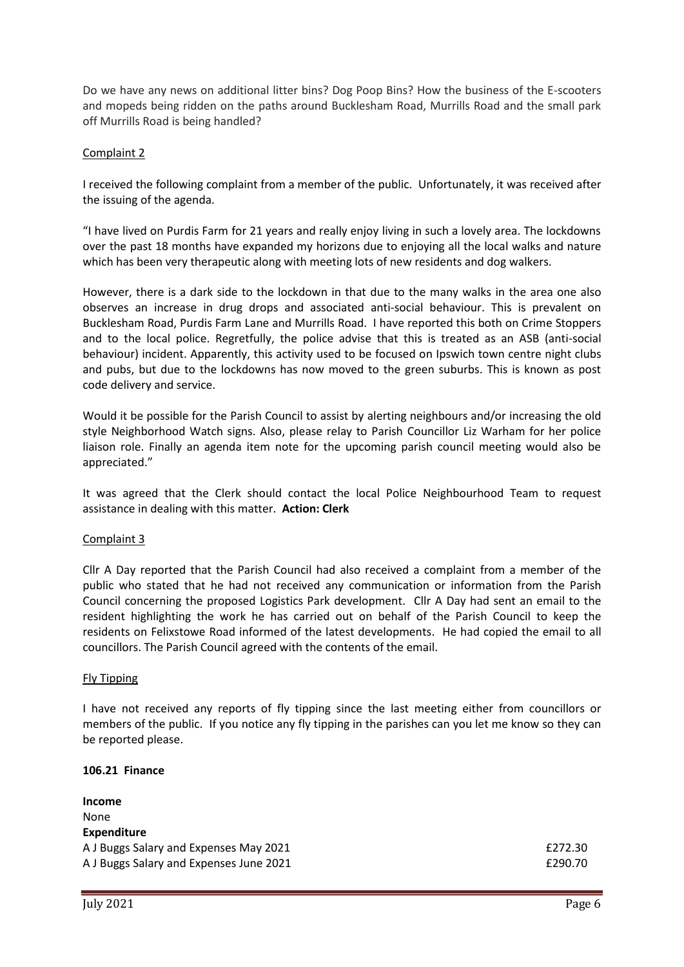Do we have any news on additional litter bins? Dog Poop Bins? How the business of the E-scooters and mopeds being ridden on the paths around Bucklesham Road, Murrills Road and the small park off Murrills Road is being handled?

# Complaint 2

I received the following complaint from a member of the public. Unfortunately, it was received after the issuing of the agenda.

"I have lived on Purdis Farm for 21 years and really enjoy living in such a lovely area. The lockdowns over the past 18 months have expanded my horizons due to enjoying all the local walks and nature which has been very therapeutic along with meeting lots of new residents and dog walkers.

However, there is a dark side to the lockdown in that due to the many walks in the area one also observes an increase in drug drops and associated anti-social behaviour. This is prevalent on Bucklesham Road, Purdis Farm Lane and Murrills Road. I have reported this both on Crime Stoppers and to the local police. Regretfully, the police advise that this is treated as an ASB (anti-social behaviour) incident. Apparently, this activity used to be focused on Ipswich town centre night clubs and pubs, but due to the lockdowns has now moved to the green suburbs. This is known as post code delivery and service.

Would it be possible for the Parish Council to assist by alerting neighbours and/or increasing the old style Neighborhood Watch signs. Also, please relay to Parish Councillor Liz Warham for her police liaison role. Finally an agenda item note for the upcoming parish council meeting would also be appreciated."

It was agreed that the Clerk should contact the local Police Neighbourhood Team to request assistance in dealing with this matter. **Action: Clerk**

#### Complaint 3

Cllr A Day reported that the Parish Council had also received a complaint from a member of the public who stated that he had not received any communication or information from the Parish Council concerning the proposed Logistics Park development. Cllr A Day had sent an email to the resident highlighting the work he has carried out on behalf of the Parish Council to keep the residents on Felixstowe Road informed of the latest developments. He had copied the email to all councillors. The Parish Council agreed with the contents of the email.

#### Fly Tipping

I have not received any reports of fly tipping since the last meeting either from councillors or members of the public. If you notice any fly tipping in the parishes can you let me know so they can be reported please.

#### **106.21 Finance**

| Income                                  |         |
|-----------------------------------------|---------|
| None                                    |         |
| <b>Expenditure</b>                      |         |
| A J Buggs Salary and Expenses May 2021  | £272.30 |
| A J Buggs Salary and Expenses June 2021 | £290.70 |